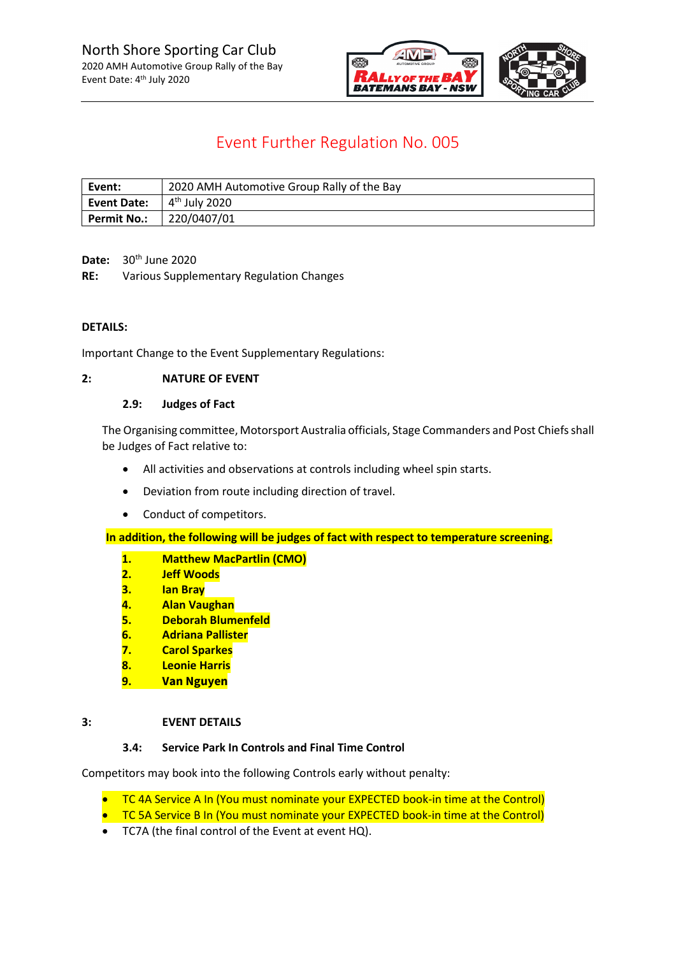

### Event Further Regulation No. 005

| Event:             | 2020 AMH Automotive Group Rally of the Bay |  |  |
|--------------------|--------------------------------------------|--|--|
| <b>Event Date:</b> | 1 4 <sup>th</sup> July 2020                |  |  |
| <b>Permit No.:</b> | 220/0407/01                                |  |  |

**Date:** 30th June 2020

**RE:** Various Supplementary Regulation Changes

#### **DETAILS:**

Important Change to the Event Supplementary Regulations:

#### **2: NATURE OF EVENT**

#### **2.9: Judges of Fact**

The Organising committee, Motorsport Australia officials, Stage Commanders and Post Chiefs shall be Judges of Fact relative to:

- All activities and observations at controls including wheel spin starts.
- Deviation from route including direction of travel.
- Conduct of competitors.

**In addition, the following will be judges of fact with respect to temperature screening.**

- **1. Matthew MacPartlin (CMO)**
- **2. Jeff Woods**
- **3. Ian Bray**
- **4. Alan Vaughan**
- **5. Deborah Blumenfeld**
- **6. Adriana Pallister**
- **7. Carol Sparkes**
- **8. Leonie Harris**
- **9. Van Nguyen**

#### **3: EVENT DETAILS**

#### **3.4: Service Park In Controls and Final Time Control**

Competitors may book into the following Controls early without penalty:

- TC 4A Service A In (You must nominate your EXPECTED book-in time at the Control)
- **TC 5A Service B In (You must nominate your EXPECTED book-in time at the Control)**
- TC7A (the final control of the Event at event HQ).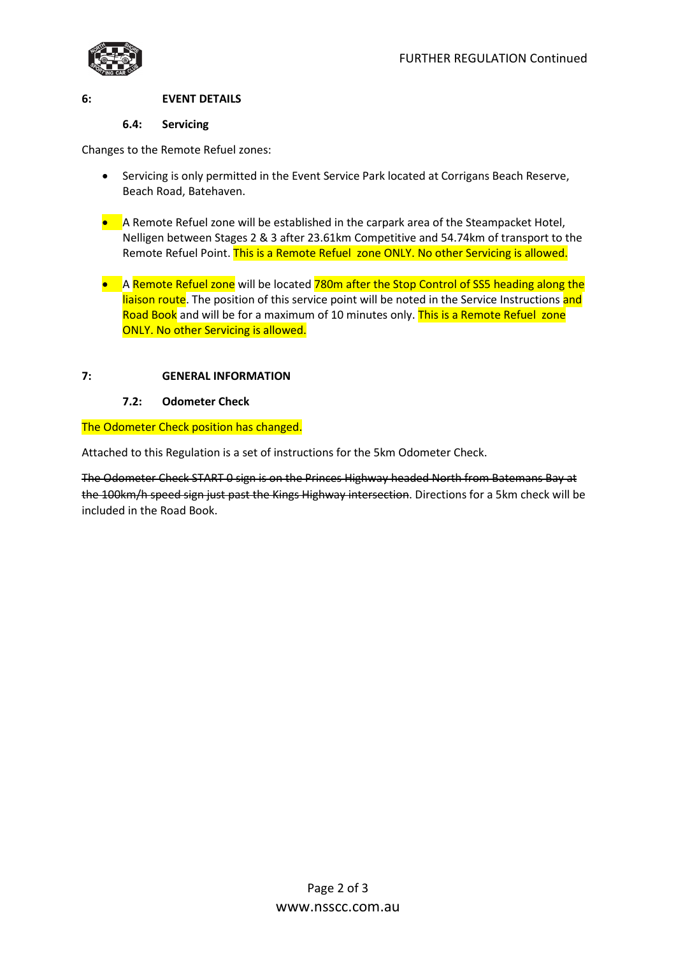

#### **6: EVENT DETAILS**

#### **6.4: Servicing**

Changes to the Remote Refuel zones:

- Servicing is only permitted in the Event Service Park located at Corrigans Beach Reserve, Beach Road, Batehaven.
- A Remote Refuel zone will be established in the carpark area of the Steampacket Hotel, Nelligen between Stages 2 & 3 after 23.61km Competitive and 54.74km of transport to the Remote Refuel Point. This is a Remote Refuel zone ONLY. No other Servicing is allowed.
- A Remote Refuel zone will be located 780m after the Stop Control of SS5 heading along the liaison route. The position of this service point will be noted in the Service Instructions and Road Book and will be for a maximum of 10 minutes only. This is a Remote Refuel zone ONLY. No other Servicing is allowed.

#### **7: GENERAL INFORMATION**

#### **7.2: Odometer Check**

#### The Odometer Check position has changed.

Attached to this Regulation is a set of instructions for the 5km Odometer Check.

The Odometer Check START 0 sign is on the Princes Highway headed North from Batemans Bay at the 100km/h speed sign just past the Kings Highway intersection. Directions for a 5km check will be included in the Road Book.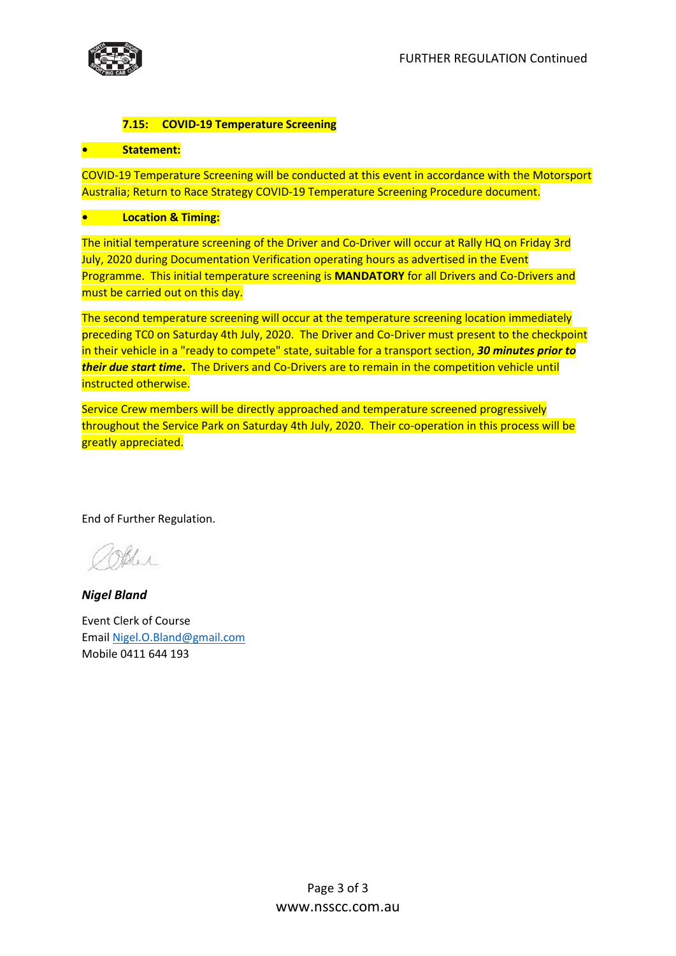



#### **7.15: COVID-19 Temperature Screening**

#### **• Statement:**

COVID-19 Temperature Screening will be conducted at this event in accordance with the Motorsport Australia; Return to Race Strategy COVID-19 Temperature Screening Procedure document.

#### **• Location & Timing:**

The initial temperature screening of the Driver and Co-Driver will occur at Rally HQ on Friday 3rd July, 2020 during Documentation Verification operating hours as advertised in the Event Programme. This initial temperature screening is **MANDATORY** for all Drivers and Co-Drivers and must be carried out on this day.

The second temperature screening will occur at the temperature screening location immediately preceding TC0 on Saturday 4th July, 2020. The Driver and Co-Driver must present to the checkpoint in their vehicle in a "ready to compete" state, suitable for a transport section, *30 minutes prior to their due start time***.** The Drivers and Co-Drivers are to remain in the competition vehicle until instructed otherwise.

Service Crew members will be directly approached and temperature screened progressively throughout the Service Park on Saturday 4th July, 2020. Their co-operation in this process will be greatly appreciated.

End of Further Regulation.

Coller

*Nigel Bland*

Event Clerk of Course Email [Nigel.O.Bland@gmail.com](mailto:Nigel.O.Bland@gmail.com) Mobile 0411 644 193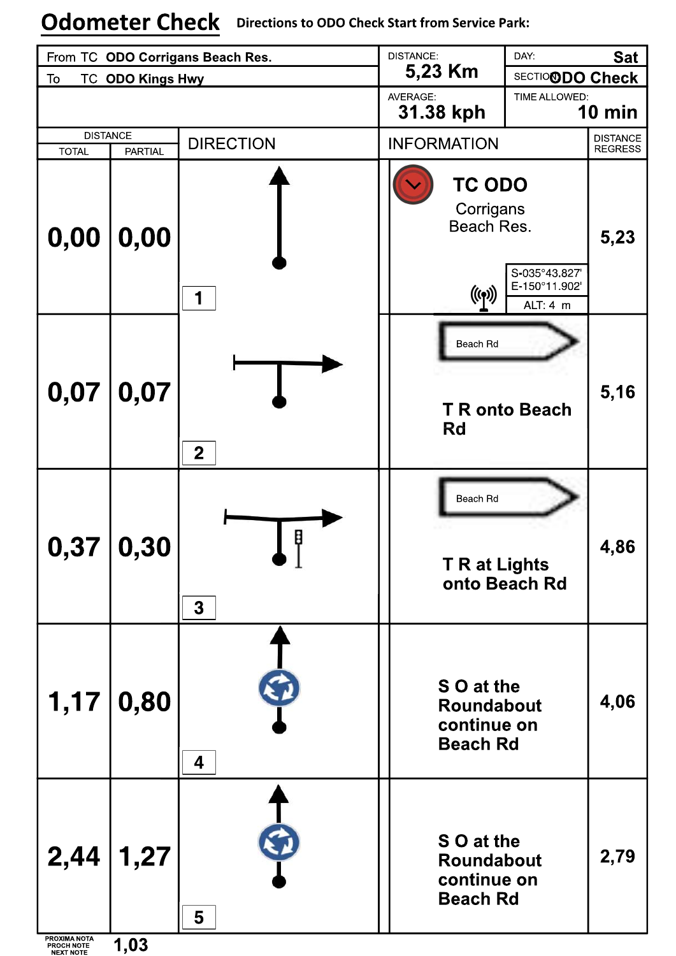# **Odometer Check** Directions to ODO Check Start from Service Park:

| From TC ODO Corrigans Beach Res.               |                |                  | <b>DISTANCE:</b>                                           | DAY:                                      | <b>Sat</b>                        |
|------------------------------------------------|----------------|------------------|------------------------------------------------------------|-------------------------------------------|-----------------------------------|
| To<br><b>TC ODO Kings Hwy</b>                  |                |                  | 5,23 Km                                                    | SECTIO <b>ODO Check</b>                   |                                   |
|                                                |                |                  | AVERAGE:<br>TIME ALLOWED:<br>31.38 kph                     |                                           | <b>10 min</b>                     |
| <b>DISTANCE</b><br><b>TOTAL</b>                | <b>PARTIAL</b> | <b>DIRECTION</b> | <b>INFORMATION</b>                                         |                                           | <b>DISTANCE</b><br><b>REGRESS</b> |
| 0,00                                           | $\vert$ 0,00   | 1                | <b>TC ODO</b><br>Corrigans<br>Beach Res.<br>((q))          | S-035°43.827'<br>E-150°11.902<br>ALT: 4 m | 5,23                              |
| 0,07                                           | 0,07           | $\mathbf 2$      | Beach Rd<br><b>T R onto Beach</b><br>Rd                    |                                           | 5,16                              |
|                                                | 0,37 0,30      | Ø<br>, I<br>3    | Beach Rd<br><b>T R at Lights</b><br>onto Beach Rd          |                                           | 4,86                              |
| 1,17                                           | 0,80           | 4                | S O at the<br>Roundabout<br>continue on<br><b>Beach Rd</b> |                                           | 4,06                              |
| 2,44                                           | 1,27           | 5                | S O at the<br>Roundabout<br>continue on<br><b>Beach Rd</b> |                                           | 2,79                              |
| PROXIMA NOTA<br>PROCH NOTE<br><b>NEXT NOTE</b> | 1,03           |                  |                                                            |                                           |                                   |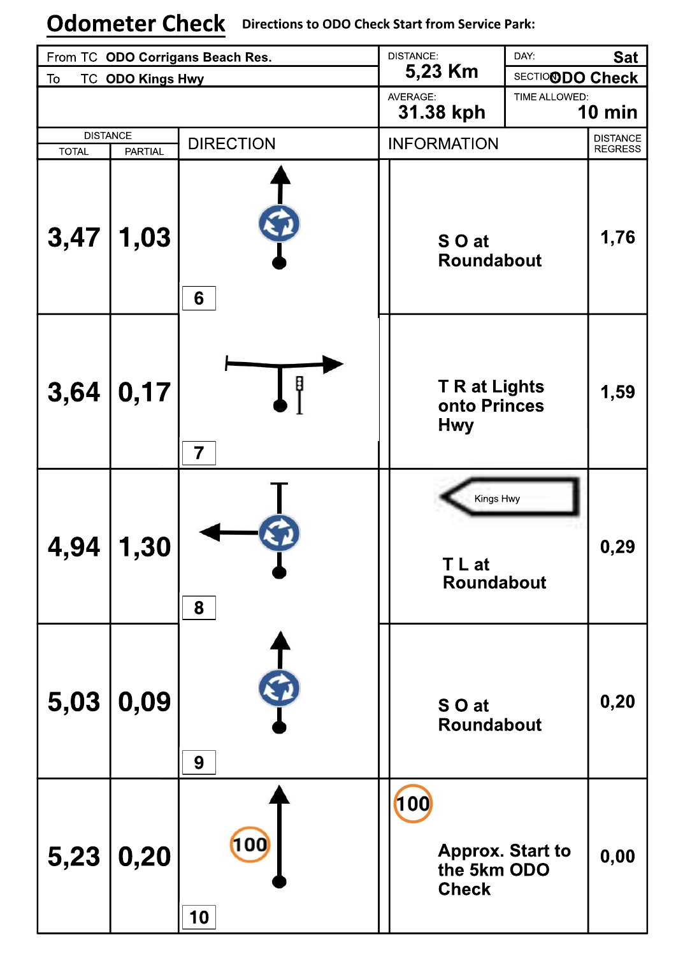# **Odometer Check** Directions to ODO Check Start from Service Park:

| From TC ODO Corrigans Beach Res. |                |                                                                           | <b>DISTANCE:</b>                       | DAY:                    | <b>Sat</b>                        |
|----------------------------------|----------------|---------------------------------------------------------------------------|----------------------------------------|-------------------------|-----------------------------------|
| <b>TC ODO Kings Hwy</b><br>To    |                |                                                                           | 5,23 Km                                | SECTIO <b>ODO Check</b> |                                   |
|                                  |                |                                                                           | AVERAGE:<br>TIME ALLOWED:<br>31.38 kph |                         | 10 min                            |
| <b>DISTANCE</b>                  |                |                                                                           |                                        |                         |                                   |
| <b>TOTAL</b>                     | <b>PARTIAL</b> | <b>DIRECTION</b>                                                          | <b>INFORMATION</b>                     |                         | <b>DISTANCE</b><br><b>REGRESS</b> |
| 3,47                             | 1,03           | 6                                                                         | S O at<br>Roundabout                   |                         | 1,76                              |
| 3,64                             | 0,17           | B<br><b>T R at Lights</b><br>onto Princes<br><b>Hwy</b><br>$\overline{7}$ |                                        | 1,59                    |                                   |
| 4,94                             | 1,30           | 8                                                                         | Kings Hwy<br>T L at<br>Roundabout      |                         | 0,29                              |
| 5,03                             | 0,09           | 9                                                                         | S O at<br>Roundabout                   |                         | 0,20                              |
| 5,23                             | 0,20           | 100<br>10                                                                 | 100<br>the 5km ODO<br><b>Check</b>     | <b>Approx. Start to</b> | 0,00                              |